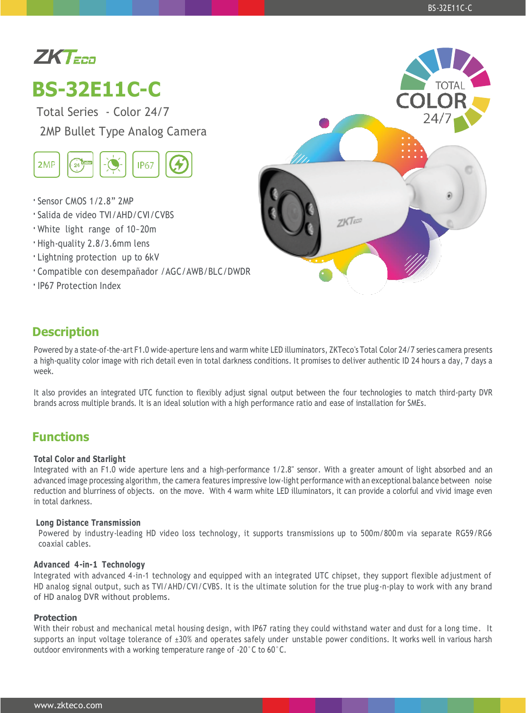# $ZKT$ <sub>EED</sub>

# **BS-32E11C-C**

Total Series - Color 24/7 2MP Bullet Type Analog Camera



- **·** Sensor CMOS 1/2.8" 2MP
- **·** Salida de video TVI/AHD/CVI/CVBS
- **·** White light range of 10~20m
- **·** High-quality 2.8/3.6mm lens
- **·** Lightning protection up to 6kV
- **·** Compatible con desempañador /AGC/AWB/BLC/DWDR
- **·** IP67 Protection Index



### **Description**

Powered by a state-of-the-art F1.0 wide-aperture lens and warm white LED illuminators, ZKTeco's Total Color 24/7 series camera presents a high-quality color image with rich detail even in total darkness conditions. It promises to deliver authentic ID 24 hours a day, 7 days a week.

It also provides an integrated UTC function to flexibly adjust signal output between the four technologies to match third-party DVR brands across multiple brands. It is an ideal solution with a high performance ratio and ease of installation for SMEs.

### **Functions**

#### **Total Color and Starlight**

Integrated with an F1.0 wide aperture lens and a high-performance 1/2.8" sensor. With a greater amount of light absorbed and an advanced image processing algorithm, the camera features impressive low-light performance with an exceptional balance between noise reduction and blurriness of objects. on the move. With 4 warm white LED illuminators, it can provide a colorful and vivid image even in total darkness.

#### **Long Distance Transmission**

Powered by industry-leading HD video loss technology, it supports transmissions up to 500m/800 m via separate RG59/RG6 coaxial cables.

#### **Advanced 4-in-1 Technology**

Integrated with advanced 4-in-1 technology and equipped with an integrated UTC chipset, they support flexible adjustment of HD analog signal output, such as TVI/AHD/CVI/CVBS. It is the ultimate solution for the true plug-n-play to work with any brand of HD analog DVR without problems.

#### **Protection**

With their robust and mechanical metal housing design, with IP67 rating they could withstand water and dust for a long time. It supports an input voltage tolerance of ±30% and operates safely under unstable power conditions. It works well in various harsh outdoor environments with a working temperature range of -20°C to 60°C.